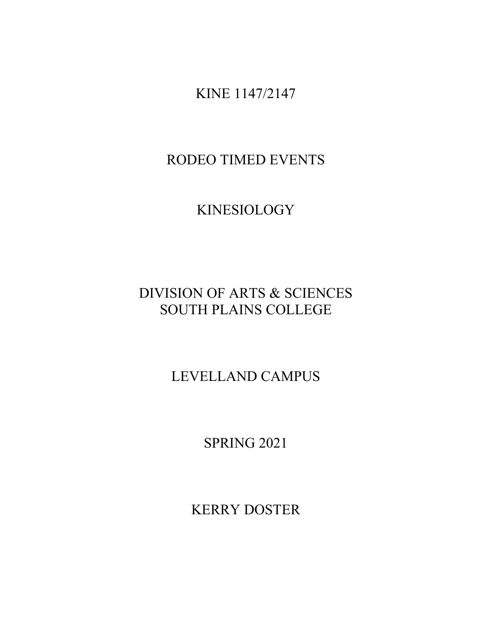KINE 1147/2147

RODEO TIMED EVENTS

KINESIOLOGY

DIVISION OF ARTS & SCIENCES SOUTH PLAINS COLLEGE

LEVELLAND CAMPUS

SPRING 2021

KERRY DOSTER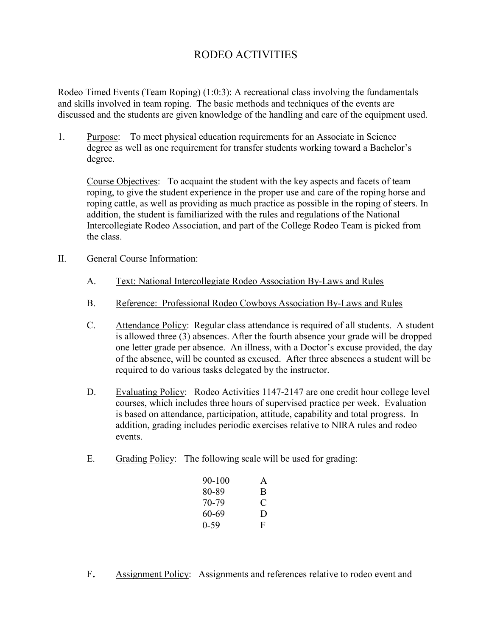## RODEO ACTIVITIES

Rodeo Timed Events (Team Roping) (1:0:3): A recreational class involving the fundamentals and skills involved in team roping. The basic methods and techniques of the events are discussed and the students are given knowledge of the handling and care of the equipment used.

1. Purpose: To meet physical education requirements for an Associate in Science degree as well as one requirement for transfer students working toward a Bachelor's degree.

Course Objectives: To acquaint the student with the key aspects and facets of team roping, to give the student experience in the proper use and care of the roping horse and roping cattle, as well as providing as much practice as possible in the roping of steers. In addition, the student is familiarized with the rules and regulations of the National Intercollegiate Rodeo Association, and part of the College Rodeo Team is picked from the class.

- II. General Course Information:
	- A. Text: National Intercollegiate Rodeo Association By-Laws and Rules
	- B. Reference: Professional Rodeo Cowboys Association By-Laws and Rules
	- C. Attendance Policy: Regular class attendance is required of all students. A student is allowed three (3) absences. After the fourth absence your grade will be dropped one letter grade per absence. An illness, with a Doctor's excuse provided, the day of the absence, will be counted as excused. After three absences a student will be required to do various tasks delegated by the instructor.
	- D. Evaluating Policy: Rodeo Activities 1147-2147 are one credit hour college level courses, which includes three hours of supervised practice per week. Evaluation is based on attendance, participation, attitude, capability and total progress. In addition, grading includes periodic exercises relative to NIRA rules and rodeo events.
	- E. Grading Policy: The following scale will be used for grading:

| 90-100   | A |
|----------|---|
| 80-89    | B |
| 70-79    | € |
| 60-69    | D |
| $0 - 59$ | F |

F. Assignment Policy: Assignments and references relative to rodeo event and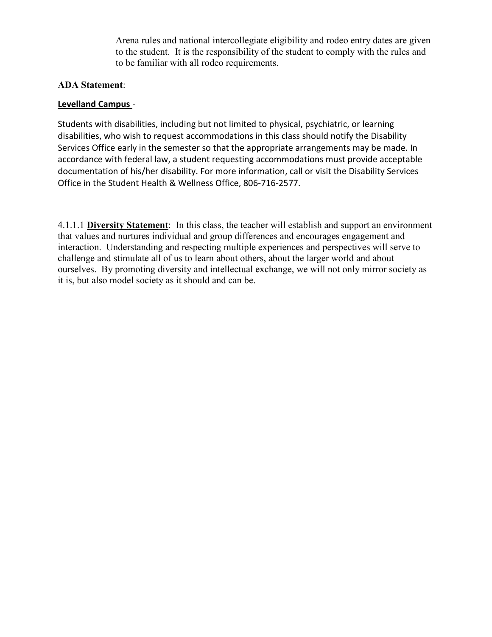Arena rules and national intercollegiate eligibility and rodeo entry dates are given to the student. It is the responsibility of the student to comply with the rules and to be familiar with all rodeo requirements.

## **ADA Statement**:

## **Levelland Campus** –

Students with disabilities, including but not limited to physical, psychiatric, or learning disabilities, who wish to request accommodations in this class should notify the Disability Services Office early in the semester so that the appropriate arrangements may be made. In accordance with federal law, a student requesting accommodations must provide acceptable documentation of his/her disability. For more information, call or visit the Disability Services Office in the Student Health & Wellness Office, 806-716-2577.

4.1.1.1 **Diversity Statement**: In this class, the teacher will establish and support an environment that values and nurtures individual and group differences and encourages engagement and interaction. Understanding and respecting multiple experiences and perspectives will serve to challenge and stimulate all of us to learn about others, about the larger world and about ourselves. By promoting diversity and intellectual exchange, we will not only mirror society as it is, but also model society as it should and can be.